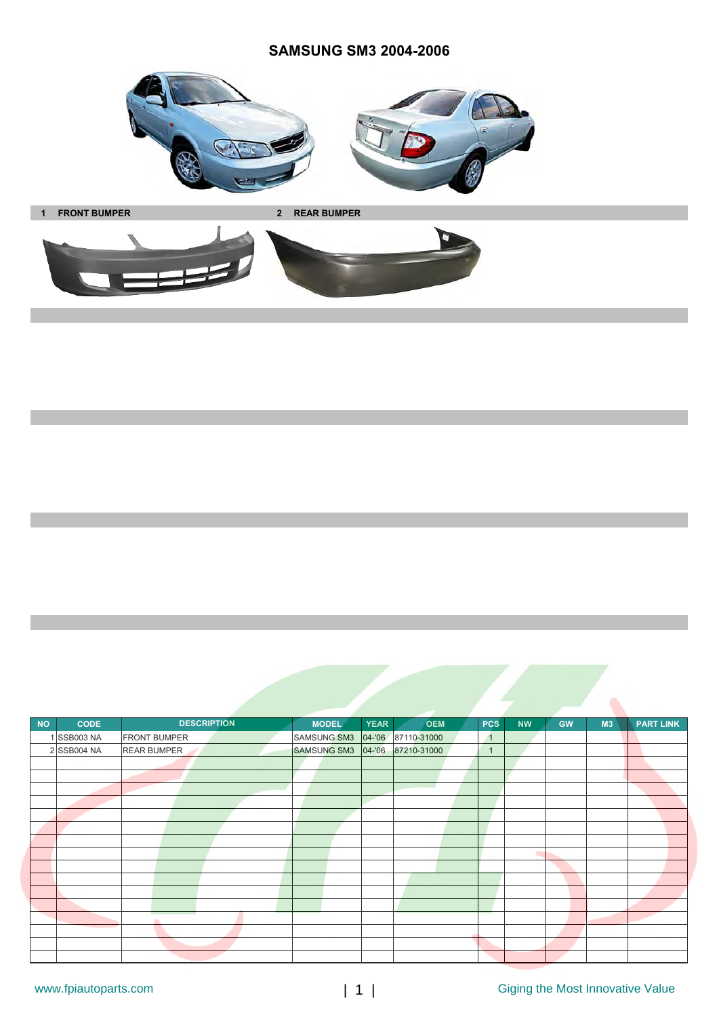

**1 FRONT BUMPER 2 REAR BUMPER**



| <b>NO</b> | <b>CODE</b> | <b>DESCRIPTION</b>  | <b>MODEL</b>       | <b>YEAR</b> | <b>OEM</b>         | <b>PCS</b>     | <b>NW</b> | <b>GW</b> | M3 | <b>PART LINK</b> |
|-----------|-------------|---------------------|--------------------|-------------|--------------------|----------------|-----------|-----------|----|------------------|
|           | 1 SSB003 NA | <b>FRONT BUMPER</b> | <b>SAMSUNG SM3</b> |             | 04-'06 87110-31000 | $\overline{1}$ |           |           |    |                  |
|           | 2 SSB004 NA | <b>REAR BUMPER</b>  | <b>SAMSUNG SM3</b> |             | 04-'06 87210-31000 | $\overline{1}$ |           |           |    |                  |
|           |             |                     |                    |             |                    |                |           |           |    |                  |
|           |             |                     |                    |             |                    |                |           |           |    |                  |
|           |             |                     |                    |             |                    |                |           |           |    |                  |
|           |             |                     |                    |             |                    |                |           |           |    |                  |
|           |             |                     |                    |             |                    |                |           |           |    |                  |
|           |             |                     |                    |             |                    |                |           |           |    |                  |
|           |             |                     |                    |             |                    |                |           |           |    |                  |
|           |             |                     |                    |             |                    |                |           |           |    |                  |
|           |             |                     |                    |             |                    |                |           |           |    |                  |
|           |             |                     |                    |             |                    |                |           |           |    |                  |
|           |             |                     |                    |             |                    |                |           |           |    |                  |
|           |             |                     |                    |             |                    |                |           |           |    |                  |
|           |             | a.                  |                    |             |                    |                |           |           |    |                  |
|           |             |                     |                    |             |                    |                |           |           |    |                  |
|           |             |                     |                    |             |                    |                |           |           |    |                  |
|           |             |                     |                    |             |                    |                |           |           |    |                  |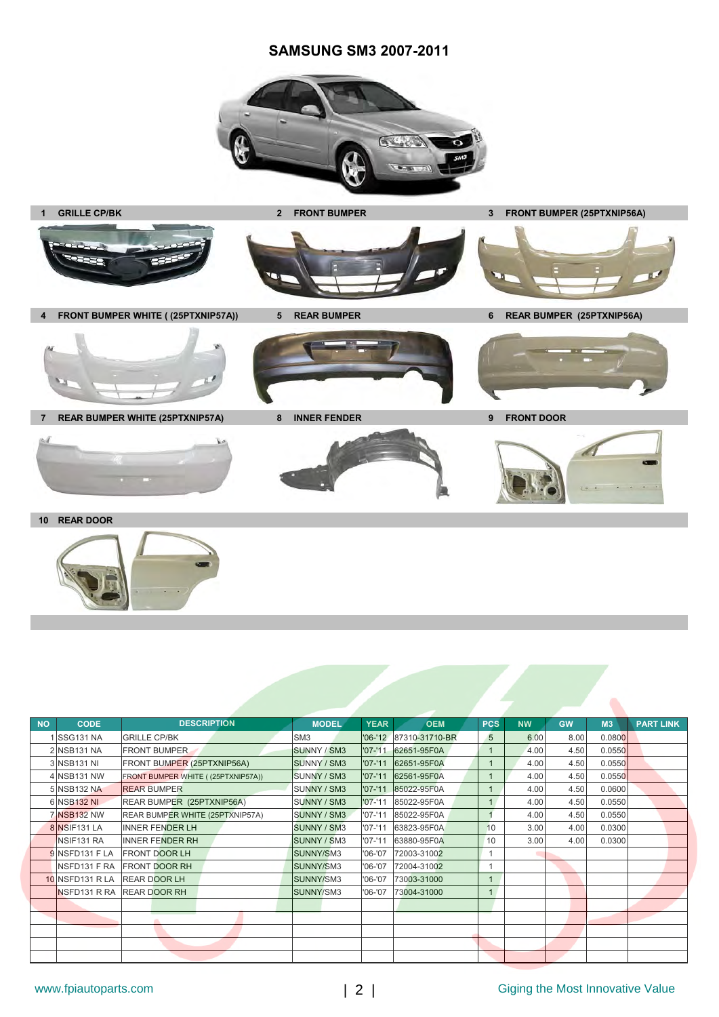## **SAMSUNG SM3 2007-2011**





| <b>NO</b> | <b>CODE</b>            | <b>DESCRIPTION</b>                 | <b>MODEL</b>    | <b>YEAR</b> | <b>OEM</b>             | <b>PCS</b>     | <b>NW</b> | <b>GW</b> | M3     | <b>PART LINK</b> |
|-----------|------------------------|------------------------------------|-----------------|-------------|------------------------|----------------|-----------|-----------|--------|------------------|
|           | SSG131 NA              | <b>GRILLE CP/BK</b>                | SM <sub>3</sub> |             | '06-'12 87310-31710-BR | 5              | 6.00      | 8.00      | 0.0800 |                  |
|           | 2 NSB131 NA            | <b>FRONT BUMPER</b>                | SUNNY / SM3     | $'07 - '11$ | 62651-95F0A            | $\mathbf{1}$   | 4.00      | 4.50      | 0.0550 |                  |
|           | 3 NSB131 NI            | FRONT BUMPER (25PTXNIP56A)         | SUNNY / SM3     | $'07 - '11$ | 62651-95F0A            |                | 4.00      | 4.50      | 0.0550 |                  |
|           | 4 NSB131 NW            | FRONT BUMPER WHITE ((25PTXNIP57A)) | SUNNY / SM3     | $'07 - '11$ | 62561-95F0A            |                | 4.00      | 4.50      | 0.0550 |                  |
|           | 5 NSB132 NA            | <b>REAR BUMPER</b>                 | SUNNY / SM3     | $'07 - '11$ | 85022-95F0A            | $\mathbf{1}$   | 4.00      | 4.50      | 0.0600 |                  |
|           | 6 NSB132 NI            | REAR BUMPER (25PTXNIP56A)          | SUNNY / SM3     | $'07 - '11$ | 85022-95F0A            | $\overline{1}$ | 4.00      | 4.50      | 0.0550 |                  |
|           | <b>7 NSB132 NW</b>     | REAR BUMPER WHITE (25PTXNIP57A)    | SUNNY / SM3     | $'07 - '11$ | 85022-95F0A            |                | 4.00      | 4.50      | 0.0550 |                  |
|           | 8 NSIF131 LA           | <b>INNER FENDER LH</b>             | SUNNY / SM3     | $'07 - '11$ | 63823-95F0A            | 10             | 3.00      | 4.00      | 0.0300 |                  |
|           | NSIF <sub>131</sub> RA | <b>INNER FENDER RH</b>             | SUNNY / SM3     | $'07 - '11$ | 63880-95F0A            | 10             | 3.00      | 4.00      | 0.0300 |                  |
|           | 9 NSFD131 F LA         | <b>FRONT DOOR LH</b>               | SUNNY/SM3       | $'06 - '07$ | 72003-31002            |                |           |           |        |                  |
|           |                        | <b>INSED131 F RA FRONT DOOR RH</b> | SUNNY/SM3       | $'06 - '07$ | 72004-31002            |                |           |           |        |                  |
|           |                        | 10 NSFD131 R LA REAR DOOR LH       | SUNNY/SM3       | $'06 - '07$ | 73003-31000            |                |           |           |        |                  |
|           |                        | INSFD131 R RA REAR DOOR RH         | SUNNY/SM3       | $'06 - '07$ | 73004-31000            |                |           |           |        |                  |
|           |                        |                                    |                 |             |                        |                |           |           |        |                  |
|           |                        |                                    |                 |             |                        |                |           |           |        |                  |
|           |                        |                                    |                 |             |                        |                |           |           |        |                  |
|           |                        |                                    |                 |             |                        |                |           |           |        |                  |
|           |                        |                                    |                 |             |                        |                |           |           |        |                  |